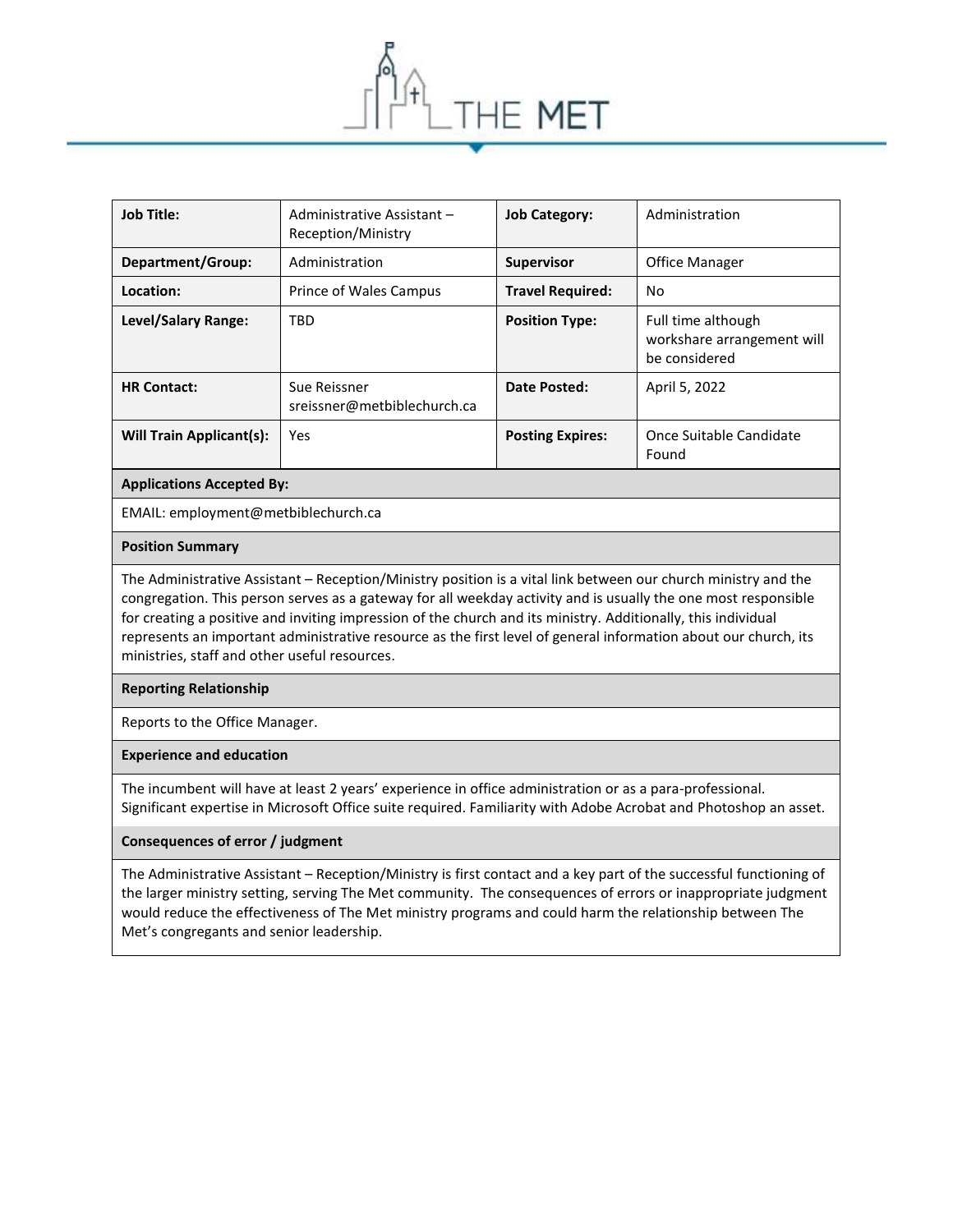

| Job Title:               | Administrative Assistant -<br>Reception/Ministry | <b>Job Category:</b>    | Administration                                                    |
|--------------------------|--------------------------------------------------|-------------------------|-------------------------------------------------------------------|
| Department/Group:        | Administration                                   | <b>Supervisor</b>       | <b>Office Manager</b>                                             |
| Location:                | Prince of Wales Campus                           | <b>Travel Required:</b> | No                                                                |
| Level/Salary Range:      | TBD                                              | <b>Position Type:</b>   | Full time although<br>workshare arrangement will<br>be considered |
| <b>HR Contact:</b>       | Sue Reissner<br>sreissner@metbiblechurch.ca      | Date Posted:            | April 5, 2022                                                     |
| Will Train Applicant(s): | Yes                                              | <b>Posting Expires:</b> | Once Suitable Candidate<br>Found                                  |

### **Applications Accepted By:**

EMAIL: employment@metbiblechurch.ca

#### **Position Summary**

The Administrative Assistant – Reception/Ministry position is a vital link between our church ministry and the congregation. This person serves as a gateway for all weekday activity and is usually the one most responsible for creating a positive and inviting impression of the church and its ministry. Additionally, this individual represents an important administrative resource as the first level of general information about our church, its ministries, staff and other useful resources.

#### **Reporting Relationship**

Reports to the Office Manager.

#### **Experience and education**

The incumbent will have at least 2 years' experience in office administration or as a para-professional. Significant expertise in Microsoft Office suite required. Familiarity with Adobe Acrobat and Photoshop an asset.

## **Consequences of error / judgment**

The Administrative Assistant – Reception/Ministry is first contact and a key part of the successful functioning of the larger ministry setting, serving The Met community. The consequences of errors or inappropriate judgment would reduce the effectiveness of The Met ministry programs and could harm the relationship between The Met's congregants and senior leadership.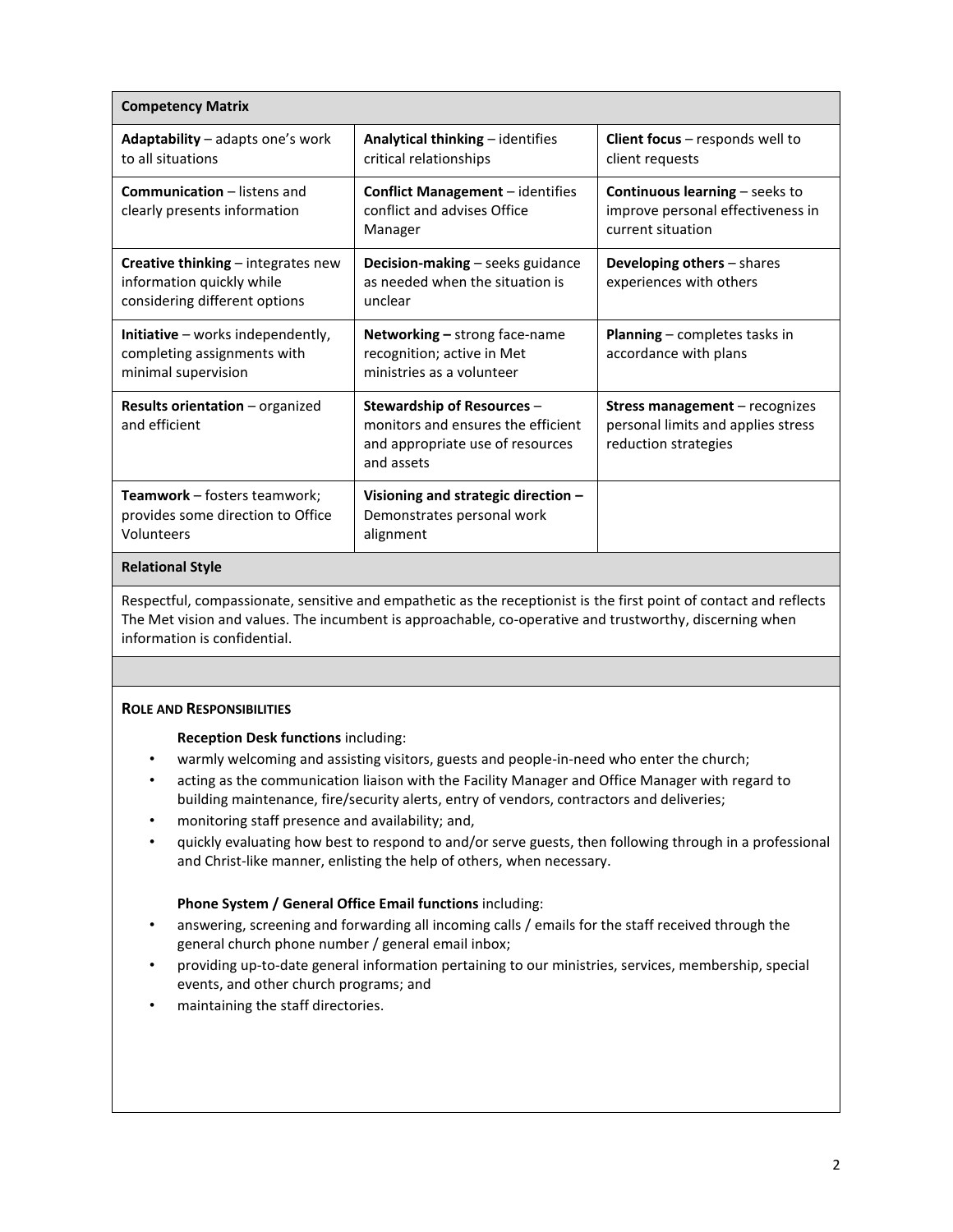| <b>Competency Matrix</b>                                                                                |                                                                                                                    |                                                                                                     |  |  |  |
|---------------------------------------------------------------------------------------------------------|--------------------------------------------------------------------------------------------------------------------|-----------------------------------------------------------------------------------------------------|--|--|--|
| Adaptability – adapts one's work<br>to all situations                                                   | Analytical thinking - identifies<br>critical relationships                                                         | <b>Client focus</b> $-$ responds well to<br>client requests                                         |  |  |  |
| <b>Communication</b> – listens and<br>clearly presents information                                      | <b>Conflict Management</b> - identifies<br>conflict and advises Office<br>Manager                                  | <b>Continuous learning</b> – seeks to<br>improve personal effectiveness in<br>current situation     |  |  |  |
| <b>Creative thinking</b> – integrates new<br>information quickly while<br>considering different options | Decision-making - seeks guidance<br>as needed when the situation is<br>unclear                                     | Developing others - shares<br>experiences with others                                               |  |  |  |
| <b>Initiative</b> – works independently,<br>completing assignments with<br>minimal supervision          | <b>Networking - strong face-name</b><br>recognition; active in Met<br>ministries as a volunteer                    | <b>Planning</b> $-$ completes tasks in<br>accordance with plans                                     |  |  |  |
| Results orientation - organized<br>and efficient                                                        | Stewardship of Resources -<br>monitors and ensures the efficient<br>and appropriate use of resources<br>and assets | <b>Stress management</b> – recognizes<br>personal limits and applies stress<br>reduction strategies |  |  |  |
| Teamwork - fosters teamwork;<br>provides some direction to Office<br>Volunteers                         | Visioning and strategic direction -<br>Demonstrates personal work<br>alignment                                     |                                                                                                     |  |  |  |

#### **Relational Style**

Respectful, compassionate, sensitive and empathetic as the receptionist is the first point of contact and reflects The Met vision and values. The incumbent is approachable, co-operative and trustworthy, discerning when information is confidential.

## **ROLE AND RESPONSIBILITIES**

## **Reception Desk functions** including:

- warmly welcoming and assisting visitors, guests and people-in-need who enter the church;
- acting as the communication liaison with the Facility Manager and Office Manager with regard to building maintenance, fire/security alerts, entry of vendors, contractors and deliveries;
- monitoring staff presence and availability; and,
- quickly evaluating how best to respond to and/or serve guests, then following through in a professional and Christ-like manner, enlisting the help of others, when necessary.

## **Phone System / General Office Email functions** including:

- answering, screening and forwarding all incoming calls / emails for the staff received through the general church phone number / general email inbox;
- providing up-to-date general information pertaining to our ministries, services, membership, special events, and other church programs; and
- maintaining the staff directories.